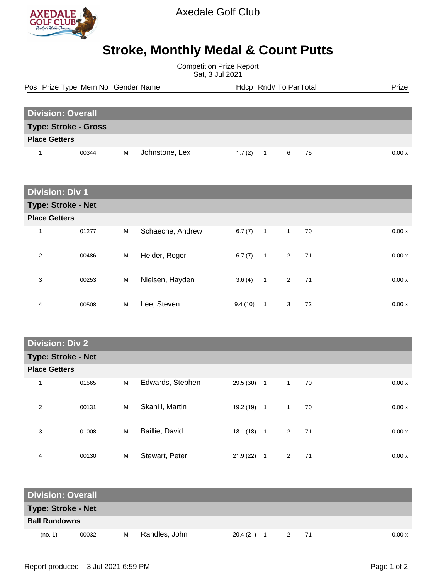

Axedale Golf Club

## **Stroke, Monthly Medal & Count Putts**

Competition Prize Report Sat, 3 Jul 2021

Pos Prize Type Mem No Gender Name **Health Hotel And America** Hotel Hotel Prize Prize

| <b>Division: Overall</b>    |       |   |                |  |        |  |   |      |        |
|-----------------------------|-------|---|----------------|--|--------|--|---|------|--------|
| <b>Type: Stroke - Gross</b> |       |   |                |  |        |  |   |      |        |
| <b>Place Getters</b>        |       |   |                |  |        |  |   |      |        |
|                             | 00344 | M | Johnstone, Lex |  | 1.7(2) |  | 6 | - 75 | 0.00 x |

| <b>Division: Div 1</b>    |       |   |                  |         |                |              |     |       |
|---------------------------|-------|---|------------------|---------|----------------|--------------|-----|-------|
| <b>Type: Stroke - Net</b> |       |   |                  |         |                |              |     |       |
| <b>Place Getters</b>      |       |   |                  |         |                |              |     |       |
| 1                         | 01277 | M | Schaeche, Andrew | 6.7(7)  | $\overline{1}$ | $\mathbf{1}$ | 70  | 0.00x |
| 2                         | 00486 | M | Heider, Roger    | 6.7(7)  | $\overline{1}$ | 2            | 71  | 0.00x |
| 3                         | 00253 | M | Nielsen, Hayden  | 3.6(4)  | $\overline{1}$ | $2^{\circ}$  | -71 | 0.00x |
| 4                         | 00508 | M | Lee, Steven      | 9.4(10) | 1              | 3            | 72  | 0.00x |

## **Division: Div 2**

|                      | <b>Type: Stroke - Net</b> |   |                  |           |                |                |    |  |        |
|----------------------|---------------------------|---|------------------|-----------|----------------|----------------|----|--|--------|
| <b>Place Getters</b> |                           |   |                  |           |                |                |    |  |        |
| 1                    | 01565                     | M | Edwards, Stephen | 29.5 (30) | $\overline{1}$ | $\overline{1}$ | 70 |  | 0.00x  |
| $\overline{2}$       | 00131                     | M | Skahill, Martin  | 19.2 (19) | $\overline{1}$ | $\mathbf{1}$   | 70 |  | 0.00 x |
| 3                    | 01008                     | M | Baillie, David   | 18.1 (18) | $\overline{1}$ | $2^{\circ}$    | 71 |  | 0.00x  |
| 4                    | 00130                     | M | Stewart, Peter   | 21.9(22)  | 1              | 2              | 71 |  | 0.00x  |

| <b>Division: Overall</b>  |       |   |               |              |  |                |      |        |
|---------------------------|-------|---|---------------|--------------|--|----------------|------|--------|
| <b>Type: Stroke - Net</b> |       |   |               |              |  |                |      |        |
| <b>Ball Rundowns</b>      |       |   |               |              |  |                |      |        |
| (no. 1)                   | 00032 | м | Randles, John | $20.4(21)$ 1 |  | $\overline{2}$ | - 71 | 0.00 x |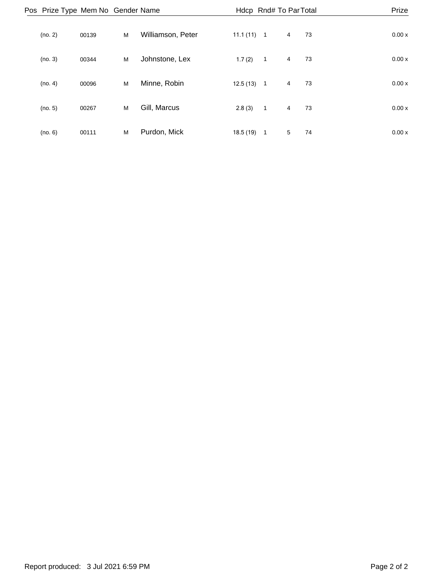| Pos Prize Type Mem No Gender Name |       |   |                   |              |                | Hdcp Rnd# To Par Total |    | Prize  |
|-----------------------------------|-------|---|-------------------|--------------|----------------|------------------------|----|--------|
| (no. 2)                           | 00139 | M | Williamson, Peter | $11.1(11)$ 1 |                | 4                      | 73 | 0.00 x |
| (no. 3)                           | 00344 | M | Johnstone, Lex    | 1.7(2)       | $\overline{1}$ | $\overline{4}$         | 73 | 0.00x  |
| (no. 4)                           | 00096 | M | Minne, Robin      | 12.5(13)     | $\overline{1}$ | $\overline{4}$         | 73 | 0.00x  |
| (no. 5)                           | 00267 | M | Gill, Marcus      | 2.8(3)       | $\overline{1}$ | $\overline{4}$         | 73 | 0.00x  |
| (no. 6)                           | 00111 | M | Purdon, Mick      | 18.5(19)     | -1             | 5                      | 74 | 0.00x  |